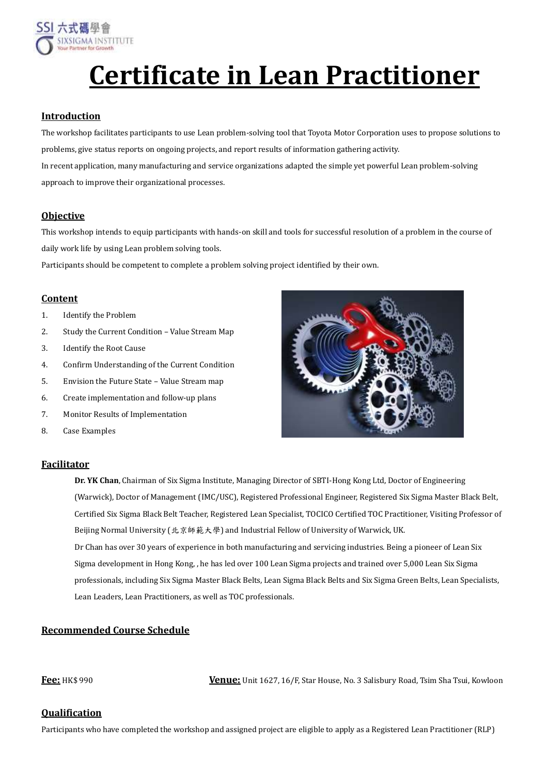

# **Certificate in Lean Practitioner**

#### **Introduction**

The workshop facilitates participants to use Lean problem-solving tool that Toyota Motor Corporation uses to propose solutions to problems, give status reports on ongoing projects, and report results of information gathering activity. In recent application, many manufacturing and service organizations adapted the simple yet powerful Lean problem-solving approach to improve their organizational processes.

### **Objective**

This workshop intends to equip participants with hands-on skill and tools for successful resolution of a problem in the course of daily work life by using Lean problem solving tools.

Participants should be competent to complete a problem solving project identified by their own.

#### **Content**

- 1. Identify the Problem
- 2. Study the Current Condition Value Stream Map
- 3. Identify the Root Cause
- 4. Confirm Understanding of the Current Condition
- 5. Envision the Future State Value Stream map
- 6. Create implementation and follow-up plans
- 7. Monitor Results of Implementation
- 8. Case Examples

#### **Facilitator**



**Dr. YK Chan**, Chairman of Six Sigma Institute, Managing Director of SBTI-Hong Kong Ltd, Doctor of Engineering (Warwick), Doctor of Management (IMC/USC), Registered Professional Engineer, Registered Six Sigma Master Black Belt, Certified Six Sigma Black Belt Teacher, Registered Lean Specialist, TOCICO Certified TOC Practitioner, Visiting Professor of Beijing Normal University (北京師範大學) and Industrial Fellow of University of Warwick, UK. Dr Chan has over 30 years of experience in both manufacturing and servicing industries. Being a pioneer of Lean Six Sigma development in Hong Kong, , he has led over 100 Lean Sigma projects and trained over 5,000 Lean Six Sigma professionals, including Six Sigma Master Black Belts, Lean Sigma Black Belts and Six Sigma Green Belts, Lean Specialists, Lean Leaders, Lean Practitioners, as well as TOC professionals.

## **Recommended Course Schedule**

**Fee:** HK\$ 990 **Venue:** Unit 1627, 16/F, Star House, No. 3 Salisbury Road, Tsim Sha Tsui, Kowloon

#### **Qualification**

Participants who have completed the workshop and assigned project are eligible to apply as a Registered Lean Practitioner (RLP)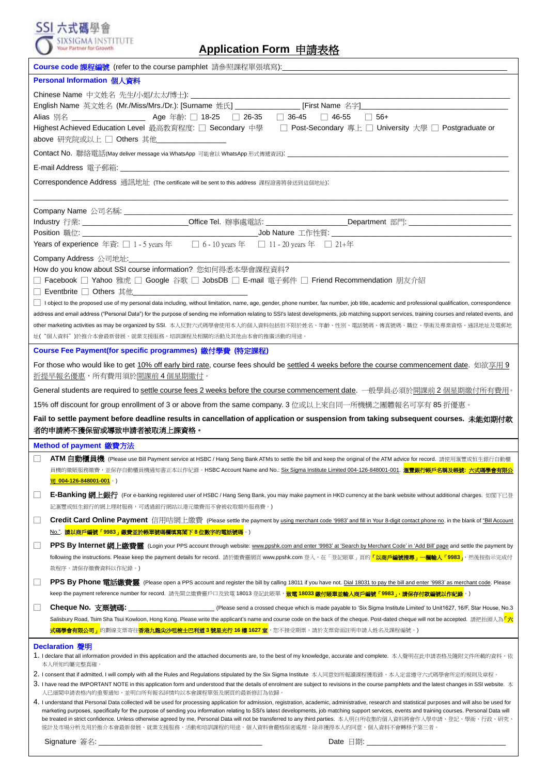| SIXSIGMA INSTITUTE<br>Your Partner for Growth<br>Application Form 申請表格                                                                                                                                                                                                                                                                                                                                                                                                                                                                                                                                                                                  |  |  |
|---------------------------------------------------------------------------------------------------------------------------------------------------------------------------------------------------------------------------------------------------------------------------------------------------------------------------------------------------------------------------------------------------------------------------------------------------------------------------------------------------------------------------------------------------------------------------------------------------------------------------------------------------------|--|--|
| Course code 課程編號 (refer to the course pamphlet 請參照課程單張填寫):_______________________                                                                                                                                                                                                                                                                                                                                                                                                                                                                                                                                                                       |  |  |
| Personal Information 個人資料                                                                                                                                                                                                                                                                                                                                                                                                                                                                                                                                                                                                                               |  |  |
|                                                                                                                                                                                                                                                                                                                                                                                                                                                                                                                                                                                                                                                         |  |  |
| English Name 英文姓名 (Mr./Miss/Mrs./Dr.): [Surname 姓氏] ________________ [First Name 名字]__________________________                                                                                                                                                                                                                                                                                                                                                                                                                                                                                                                                          |  |  |
| Alias 別名 _______________________ Age 年齡: □ 18-25   □ 26-35   □ 36-45   □ 46-55   □ 56+                                                                                                                                                                                                                                                                                                                                                                                                                                                                                                                                                                  |  |  |
| Highest Achieved Education Level 最高教育程度: □ Secondary 中學 □ Post-Secondary 專上 □ University 大學 □ Postgraduate or                                                                                                                                                                                                                                                                                                                                                                                                                                                                                                                                           |  |  |
| above 研究院或以上 □ Others 其他___________________                                                                                                                                                                                                                                                                                                                                                                                                                                                                                                                                                                                                             |  |  |
|                                                                                                                                                                                                                                                                                                                                                                                                                                                                                                                                                                                                                                                         |  |  |
|                                                                                                                                                                                                                                                                                                                                                                                                                                                                                                                                                                                                                                                         |  |  |
| Correspondence Address 通訊地址 (The certificate will be sent to this address 課程證書將發送到這個地址):                                                                                                                                                                                                                                                                                                                                                                                                                                                                                                                                                                |  |  |
|                                                                                                                                                                                                                                                                                                                                                                                                                                                                                                                                                                                                                                                         |  |  |
|                                                                                                                                                                                                                                                                                                                                                                                                                                                                                                                                                                                                                                                         |  |  |
| Industry 行業: _______________________________Office Tel. 辦事處電話: ___________________Department 部門: ____________________                                                                                                                                                                                                                                                                                                                                                                                                                                                                                                                                   |  |  |
| Years of experience 年資: □ 1 - 5 years 年 □ 6 - 10 years 年 □ 11 - 20 years 年 □ 21+年                                                                                                                                                                                                                                                                                                                                                                                                                                                                                                                                                                       |  |  |
| Company Address 公司地址:                                                                                                                                                                                                                                                                                                                                                                                                                                                                                                                                                                                                                                   |  |  |
| How do you know about SSI course information? 您如何得悉本學會課程資料?                                                                                                                                                                                                                                                                                                                                                                                                                                                                                                                                                                                             |  |  |
| □ Facebook □ Yahoo 雅虎 □ Google 谷歌 □ JobsDB □ E-mail 電子郵件 □ Friend Recommendation 朋友介紹                                                                                                                                                                                                                                                                                                                                                                                                                                                                                                                                                                   |  |  |
| □ Eventbrite □ Others 其他________________                                                                                                                                                                                                                                                                                                                                                                                                                                                                                                                                                                                                                |  |  |
| I object to the proposed use of my personal data including, without limitation, name, age, gender, phone number, fax number, job title, academic and professional qualification, correspondence                                                                                                                                                                                                                                                                                                                                                                                                                                                         |  |  |
| address and email address ("Personal Data") for the purpose of sending me information relating to SSI's latest developments, job matching support services, training courses and related events, and                                                                                                                                                                                                                                                                                                                                                                                                                                                    |  |  |
| other marketing activities as may be organized by SSI. 本人反對六式碼學會使用本人的個人資料包括但不限於姓名、年齡、性別、電話號碼、傳真號碼、職位、學術及專業資格、通訊地址及電郵地                                                                                                                                                                                                                                                                                                                                                                                                                                                                                                                                   |  |  |
| 址("個人資料")於推介本會最新發展、就業支援服務、培訓課程及相關的活動及其他由本會的推廣活動的用途。                                                                                                                                                                                                                                                                                                                                                                                                                                                                                                                                                                                                     |  |  |
| Course Fee Payment(for specific programmes) 繳付學費 (特定課程)                                                                                                                                                                                                                                                                                                                                                                                                                                                                                                                                                                                                 |  |  |
| For those who would like to get 10% off early bird rate, course fees should be settled 4 weeks before the course commencement date. 如欲享用 9<br><u>折提早報名優惠,所有費用須於開課前 4 個星期繳付。</u>                                                                                                                                                                                                                                                                                                                                                                                                                                                                         |  |  |
| General students are required to settle course fees 2 weeks before the course commencement date. 一般學員必須於開課前2 個星期繳付所有費用。                                                                                                                                                                                                                                                                                                                                                                                                                                                                                                                                 |  |  |
| 15% off discount for group enrollment of 3 or above from the same company. 3 位或以上來自同一所機構之團體報名可享有 85 折優惠。                                                                                                                                                                                                                                                                                                                                                                                                                                                                                                                                                |  |  |
| Fail to settle payment before deadline results in cancellation of application or suspension from taking subsequent courses. 未能如期付款                                                                                                                                                                                                                                                                                                                                                                                                                                                                                                                      |  |  |
| 者的申請將不獲保留或導致申請者被取消上課資格。                                                                                                                                                                                                                                                                                                                                                                                                                                                                                                                                                                                                                                 |  |  |
| Method of payment 繳費方法                                                                                                                                                                                                                                                                                                                                                                                                                                                                                                                                                                                                                                  |  |  |
| ATM 自動櫃員機 (Please use Bill Payment service at HSBC / Hang Seng Bank ATMs to settle the bill and keep the original of the ATM advice for record. 請使用滙豐或恒生銀行自動櫃                                                                                                                                                                                                                                                                                                                                                                                                                                                                                           |  |  |
| 員機的繳賬服務繳費,並保存自動櫃員機通知書正本以作紀錄。HSBC Account Name and No.: <u>Six Sigma Institute Limited 004-126-848001-001</u> . <b>滙豐銀行帳戶名稱及帳號: 六式碼學會有限<math>\mathcal{L}</math></b><br><mark>司 004-126-848001-001</mark> 。)                                                                                                                                                                                                                                                                                                                                                                                                                                              |  |  |
| E-Banking 網上銀行 (For e-banking registered user of HSBC / Hang Seng Bank, you may make payment in HKD currency at the bank website without additional charges. 如閣下已登<br>⊔                                                                                                                                                                                                                                                                                                                                                                                                                                                                                 |  |  |
| 記滙豐或恒生銀行的網上理財服務,可透過銀行網站以港元繳費而不會被收取額外服務費。)                                                                                                                                                                                                                                                                                                                                                                                                                                                                                                                                                                                                               |  |  |
| Credit Card Online Payment 信用咭網上繳費 (Please settle the payment by <u>using merchant code '9983' and fill in Your 8-digit contact phone no</u> . in the blank of "Bill Account<br>⊔<br><u> No."</u> . <mark>請以商戶編號「9983」繳費並於帳單號碼欄填寫閣下 8 位數字的電話號碼</mark> 。)                                                                                                                                                                                                                                                                                                                                                                                                |  |  |
| PPS By Internet 網上繳費靈 (Login your PPS account through website: www.ppshk.com and enter '9983' at 'Search by Merchant Code' in 'Add Bill' page and settle the payment by<br>⊔                                                                                                                                                                                                                                                                                                                                                                                                                                                                            |  |  |
| following the instructions. Please keep the payment details for record. 請於繳費靈網頁 www.ppshk.com 登入,在「登記賬單」頁的 <mark>「以商戶編號搜尋」一欄輸入「9983」</mark> ,然後按指示完成付                                                                                                                                                                                                                                                                                                                                                                                                                                                                                                   |  |  |
| 款程序。請保存繳費資料以作紀錄。)                                                                                                                                                                                                                                                                                                                                                                                                                                                                                                                                                                                                                                       |  |  |
| PPS By Phone 電話繳費靈 (Please open a PPS account and register the bill by calling 18011 if you have not. Dial 18031 to pay the bill and enter '9983' as merchant code. Please                                                                                                                                                                                                                                                                                                                                                                                                                                                                              |  |  |
| keep the payment reference number for record. 請先開立繳費靈戶口及致電 18013 登記此賬單, <b>致電 18033 繳付賬單並輸入商戶編號「9983」,請保存付款編號以作紀錄</b> 。)                                                                                                                                                                                                                                                                                                                                                                                                                                                                                                                                |  |  |
| Cheque No. 支票號碼:                                                                                                                                                                                                                                                                                                                                                                                                                                                                                                                                                                                                                                        |  |  |
| Salisbury Road, Tsim Sha Tsui Kowloon, Hong Kong. Please write the applicant's name and course code on the back of the cheque. Post-dated cheque will not be accepted. 請把抬頭人為 <mark>「六</mark>                                                                                                                                                                                                                                                                                                                                                                                                                                                           |  |  |
| <mark>式碼學會有限公司」</mark> 的劃線支票寄往 <mark>香港九龍尖沙咀梳士巴利道 3 號星光行 16 樓 1627 室</mark> ,恕不接受期票,請於支票背面註明申請人姓名及課程編號。)                                                                                                                                                                                                                                                                                                                                                                                                                                                                                                                                                |  |  |
| Declaration 聲明<br>1. I declare that all information provided in this application and the attached documents are, to the best of my knowledge, accurate and complete. 本人聲明在此申請表格及隨附文件所載的資料,依                                                                                                                                                                                                                                                                                                                                                                                                                                                             |  |  |
| 本人所知均屬完整真確。<br>2. I consent that if admitted, I will comply with all the Rules and Regulations stipulated by the Six Sigma Institute 本人同意如所報讀課程獲取錄,本人定當遵守六式碼學會所定的規則及章程。                                                                                                                                                                                                                                                                                                                                                                                                                                                                                 |  |  |
| 3. I have read the IMPORTANT NOTE in this application form and understood that the details of enrolment are subject to revisions in the course pamphlets and the latest changes in SSI website. $\pm$                                                                                                                                                                                                                                                                                                                                                                                                                                                   |  |  |
| 人已細閱申請表格內的重要通知,並明白所有報名詳情均以本會課程單張及網頁的最新修訂為依歸。                                                                                                                                                                                                                                                                                                                                                                                                                                                                                                                                                                                                            |  |  |
| 4. I understand that Personal Data collected will be used for processing application for admission, registration, academic, administrative, research and statistical purposes and will also be used for<br>marketing purposes, specifically for the purpose of sending you information relating to SSI's latest developments, job matching support services, events and training courses. Personal Data will<br>be treated in strict confidence. Unless otherwise agreed by me, Personal Data will not be transferred to any third parties. 本人明白所收集的個人資料將會作入學申請、登記、學術、行政、研究<br>統計及市場分析及用於推介本會最新發展、就業支援服務、活動和培訓課程的用途。個人資料會嚴格保密處理。除非獲得本人的同意,個人資料不會轉移予第三者。 |  |  |

Signature 簽名: \_\_\_\_\_\_\_\_\_\_\_\_\_\_\_\_\_\_\_\_\_\_\_\_\_\_\_\_\_\_\_\_\_\_\_\_\_\_\_\_ Date 日期: \_\_\_\_\_\_\_\_\_\_\_\_\_\_\_\_\_\_\_\_\_\_\_\_\_\_\_\_\_\_\_\_\_\_

SSI 六式碼學會